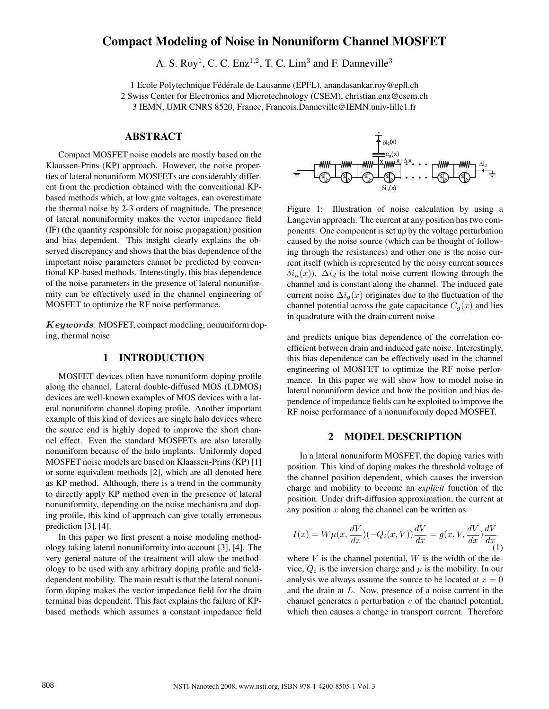# Compact Modeling of Noise in Nonuniform Channel MOSFET

A. S. Roy<sup>1</sup>, C. C. Enz<sup>1,2</sup>, T. C. Lim<sup>3</sup> and F. Danneville<sup>3</sup>

1 Ecole Polytechnique Fédérale de Lausanne (EPFL), anandasankar.roy@epfl.ch 2 Swiss Center for Electronics and Microtechnology (CSEM), christian.enz@csem.ch 3 IEMN, UMR CNRS 8520, France, Francois.Danneville@IEMN.univ-lille1.fr

#### ABSTRACT

Compact MOSFET noise models are mostly based on the Klaassen-Prins (KP) approach. However, the noise properties of lateral nonuniform MOSFETs are considerably different from the prediction obtained with the conventional KPbased methods which, at low gate voltages, can overestimate the thermal noise by 2-3 orders of magnitude. The presence of lateral nonuniformity makes the vector impedance field (IF) (the quantity responsible for noise propagation) position and bias dependent. This insight clearly explains the observed discrepancy and shows that the bias dependence of the important noise parameters cannot be predicted by conventional KP-based methods. Interestingly, this bias dependence of the noise parameters in the presence of lateral nonuniformity can be effectively used in the channel engineering of MOSFET to optimize the RF noise performance.

Keywords: MOSFET, compact modeling, nonuniform doping, thermal noise

#### 1 INTRODUCTION

MOSFET devices often have nonuniform doping profile along the channel. Lateral double-diffused MOS (LDMOS) devices are well-known examples of MOS devices with a lateral nonuniform channel doping profile. Another important example of this kind of devices are single halo devices where the source end is highly doped to improve the short channel effect. Even the standard MOSFETs are also laterally nonuniform because of the halo implants. Uniformly doped MOSFET noise models are based on Klaassen-Prins (KP) [1] or some equivalent methods [2], which are all denoted here as KP method. Although, there is a trend in the community to directly apply KP method even in the presence of lateral nonuniformity, depending on the noise mechanism and doping profile, this kind of approach can give totally erroneous prediction [3], [4].

In this paper we first present a noise modeling methodology taking lateral nonuniformity into account [3], [4]. The very general nature of the treatment will alow the methodology to be used with any arbitrary doping profile and fielddependent mobility. The main result is that the lateral nonuniform doping makes the vector impedance field for the drain terminal bias dependent. This fact explains the failure of KPbased methods which assumes a constant impedance field



Figure 1: Illustration of noise calculation by using a Langevin approach. The current at any position has two components. One component is set up by the voltage perturbation caused by the noise source (which can be thought of following through the resistances) and other one is the noise current itself (which is represented by the noisy current sources  $\delta i_n(x)$ ).  $\Delta i_d$  is the total noise current flowing through the channel and is constant along the channel. The induced gate current noise  $\Delta i_g(x)$  originates due to the fluctuation of the channel potential across the gate capacitance  $C_q(x)$  and lies in quadrature with the drain current noise

and predicts unique bias dependence of the correlation coefficient between drain and induced gate noise. Interestingly, this bias dependence can be effectively used in the channel engineering of MOSFET to optimize the RF noise performance. In this paper we will show how to model noise in lateral nonuniform device and how the position and bias dependence of impedance fields can be exploited to improve the RF noise performance of a nonuniformly doped MOSFET.

#### 2 MODEL DESCRIPTION

In a lateral nonuniform MOSFET, the doping varies with position. This kind of doping makes the threshold voltage of the channel position dependent, which causes the inversion charge and mobility to become an *explicit* function of the position. Under drift-diffusion approximation, the current at any position  $x$  along the channel can be written as

$$
I(x) = W\mu(x, \frac{dV}{dx})(-Q_i(x, V))\frac{dV}{dx} = g(x, V, \frac{dV}{dx})\frac{dV}{dx}
$$
(1)

where  $V$  is the channel potential,  $W$  is the width of the device,  $Q_i$  is the inversion charge and  $\mu$  is the mobility. In our analysis we always assume the source to be located at  $x = 0$ and the drain at L. Now, presence of a noise current in the channel generates a perturbation  $v$  of the channel potential, which then causes a change in transport current. Therefore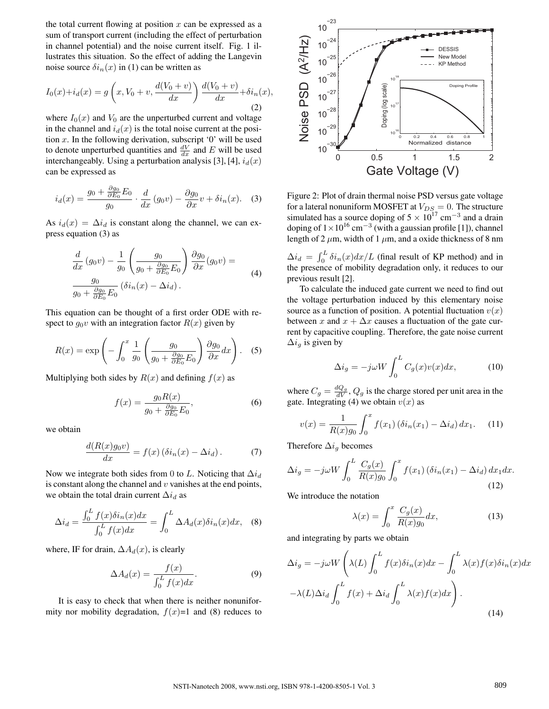the total current flowing at position  $x$  can be expressed as a sum of transport current (including the effect of perturbation in channel potential) and the noise current itself. Fig. 1 illustrates this situation. So the effect of adding the Langevin noise source  $\delta i_n(x)$  in (1) can be written as

$$
I_0(x) + i_d(x) = g\left(x, V_0 + v, \frac{d(V_0 + v)}{dx}\right) \frac{d(V_0 + v)}{dx} + \delta i_n(x),
$$
\n(2)

where  $I_0(x)$  and  $V_0$  are the unperturbed current and voltage in the channel and  $i_d(x)$  is the total noise current at the position  $x$ . In the following derivation, subscript '0' will be used to denote unperturbed quantities and  $\frac{dV}{dx}$  and E will be used interchangeably. Using a perturbation analysis [3], [4],  $i_d(x)$ can be expressed as

$$
i_d(x) = \frac{g_0 + \frac{\partial g_0}{\partial E_0} E_0}{g_0} \cdot \frac{d}{dx} (g_0 v) - \frac{\partial g_0}{\partial x} v + \delta i_n(x). \quad (3)
$$

As  $i_d(x) = \Delta i_d$  is constant along the channel, we can express equation (3) as

$$
\frac{d}{dx}(g_0v) - \frac{1}{g_0}\left(\frac{g_0}{g_0 + \frac{\partial g_0}{\partial E_0}E_0}\right)\frac{\partial g_0}{\partial x}(g_0v) =
$$
\n
$$
\frac{g_0}{g_0 + \frac{\partial g_0}{\partial E_0}E_0}(\delta i_n(x) - \Delta i_d).
$$
\n(4)

This equation can be thought of a first order ODE with respect to  $g_0v$  with an integration factor  $R(x)$  given by

$$
R(x) = \exp\left(-\int_0^x \frac{1}{g_0} \left(\frac{g_0}{g_0 + \frac{\partial g_0}{\partial E_0} E_0}\right) \frac{\partial g_0}{\partial x} dx\right).
$$
 (5)

Multiplying both sides by  $R(x)$  and defining  $f(x)$  as

$$
f(x) = \frac{g_0 R(x)}{g_0 + \frac{\partial g_0}{\partial E_0} E_0},\tag{6}
$$

we obtain

$$
\frac{d(R(x)g_0v)}{dx} = f(x)\left(\delta i_n(x) - \Delta i_d\right). \tag{7}
$$

Now we integrate both sides from 0 to L. Noticing that  $\Delta i_d$ is constant along the channel and  $v$  vanishes at the end points, we obtain the total drain current  $\Delta i_d$  as

$$
\Delta i_d = \frac{\int_0^L f(x)\delta i_n(x)dx}{\int_0^L f(x)dx} = \int_0^L \Delta A_d(x)\delta i_n(x)dx, \quad (8)
$$

where, IF for drain,  $\Delta A_d(x)$ , is clearly

$$
\Delta A_d(x) = \frac{f(x)}{\int_0^L f(x)dx}.\tag{9}
$$

It is easy to check that when there is neither nonuniformity nor mobility degradation,  $f(x)=1$  and (8) reduces to



Figure 2: Plot of drain thermal noise PSD versus gate voltage for a lateral nonuniform MOSFET at  $V_{DS} = 0$ . The structure simulated has a source doping of  $5 \times 10^{17}$  cm<sup>-3</sup> and a drain doping of  $1 \times 10^{16}$  cm<sup>-3</sup> (with a gaussian profile [1]), channel length of 2  $\mu$ m, width of 1  $\mu$ m, and a oxide thickness of 8 nm

 $\Delta i_d = \int_0^L$  $\int_0^L \delta i_n(x) dx/L$  (final result of KP method) and in the presence of mobility degradation only, it reduces to our previous result [2].

To calculate the induced gate current we need to find out the voltage perturbation induced by this elementary noise source as a function of position. A potential fluctuation  $v(x)$ between x and  $x + \Delta x$  causes a fluctuation of the gate current by capacitive coupling. Therefore, the gate noise current  $\Delta i_q$  is given by

$$
\Delta i_g = -j\omega W \int_0^L C_g(x)v(x)dx,\tag{10}
$$

where  $C_g = \frac{dQ_g}{dV}$ ,  $Q_g$  is the charge stored per unit area in the gate. Integrating (4) we obtain  $v(x)$  as

$$
v(x) = \frac{1}{R(x)g_0} \int_0^x f(x_1) (\delta i_n(x_1) - \Delta i_d) dx_1.
$$
 (11)

Therefore  $\Delta i_g$  becomes

$$
\Delta i_g = -j\omega W \int_0^L \frac{C_g(x)}{R(x)g_0} \int_0^x f(x_1) \left(\delta i_n(x_1) - \Delta i_d\right) dx_1 dx.
$$
\n(12)

We introduce the notation

$$
\lambda(x) = \int_0^x \frac{C_g(x)}{R(x)g_0} dx,\tag{13}
$$

and integrating by parts we obtain

$$
\Delta i_g = -j\omega W \left( \lambda(L) \int_0^L f(x) \delta i_n(x) dx - \int_0^L \lambda(x) f(x) \delta i_n(x) dx -\lambda(L) \Delta i_d \int_0^L f(x) + \Delta i_d \int_0^L \lambda(x) f(x) dx \right).
$$
\n(14)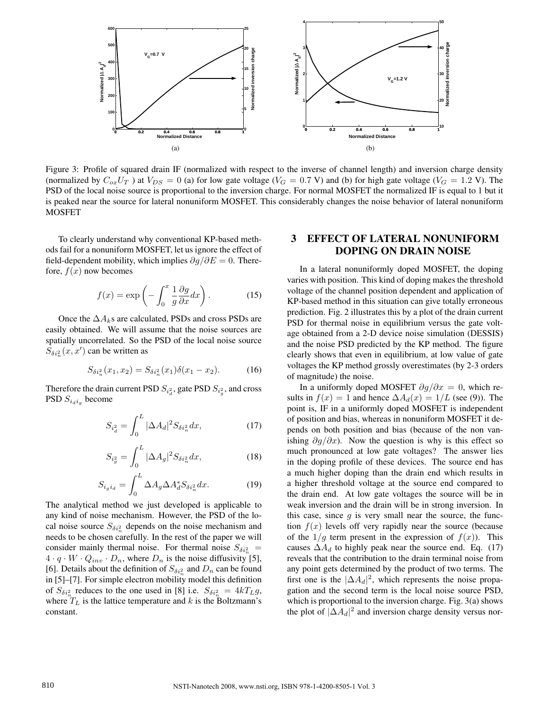

Figure 3: Profile of squared drain IF (normalized with respect to the inverse of channel length) and inversion charge density (normalized by  $C_{ox}U_T$ ) at  $V_{DS} = 0$  (a) for low gate voltage ( $V_G = 0.7$  V) and (b) for high gate voltage ( $V_G = 1.2$  V). The PSD of the local noise source is proportional to the inversion charge. For normal MOSFET the normalized IF is equal to 1 but it is peaked near the source for lateral nonuniform MOSFET. This considerably changes the noise behavior of lateral nonuniform MOSFET

To clearly understand why conventional KP-based methods fail for a nonuniform MOSFET, let us ignore the effect of field-dependent mobility, which implies  $\partial g/\partial E = 0$ . Therefore,  $f(x)$  now becomes

$$
f(x) = \exp\left(-\int_0^x \frac{1}{g} \frac{\partial g}{\partial x} dx\right).
$$
 (15)

Once the  $\Delta A_k$ s are calculated, PSDs and cross PSDs are easily obtained. We will assume that the noise sources are spatially uncorrelated. So the PSD of the local noise source  $S_{\delta i_n^2}(x, x')$  can be written as

$$
S_{\delta i_n^2}(x_1, x_2) = S_{\delta i_n^2}(x_1)\delta(x_1 - x_2). \tag{16}
$$

Therefore the drain current PSD  $S_{i_q}^2$ , gate PSD  $S_{i_g}^2$ , and cross PSD  $S_{i_d i_g}$  become

$$
S_{i_d^2} = \int_0^L |\Delta A_d|^2 S_{\delta i_n^2} dx,\tag{17}
$$

$$
S_{i_g^2} = \int_0^L |\Delta A_g|^2 S_{\delta i_n^2} dx,\tag{18}
$$

$$
S_{i_g i_d} = \int_0^L \Delta A_g \Delta A_d^* S_{\delta i_n^2} dx.
$$
 (19)

The analytical method we just developed is applicable to any kind of noise mechanism. However, the PSD of the local noise source  $S_{\delta i_n^2}$  depends on the noise mechanism and needs to be chosen carefully. In the rest of the paper we will consider mainly thermal noise. For thermal noise  $S_{\delta i_n^2}$  =  $4 \cdot q \cdot W \cdot Q_{inv} \cdot D_n$ , where  $D_n$  is the noise diffusivity [5], [6]. Details about the definition of  $S_{\delta i_n^2}$  and  $D_n$  can be found in [5]–[7]. For simple electron mobility model this definition of  $S_{\delta i_n^2}$  reduces to the one used in [8] i.e.  $S_{\delta i_n^2} = 4kT_Lg$ , where  $T_L$  is the lattice temperature and k is the Boltzmann's constant.

### 3 EFFECT OF LATERAL NONUNIFORM DOPING ON DRAIN NOISE

In a lateral nonuniformly doped MOSFET, the doping varies with position. This kind of doping makes the threshold voltage of the channel position dependent and application of KP-based method in this situation can give totally erroneous prediction. Fig. 2 illustrates this by a plot of the drain current PSD for thermal noise in equilibrium versus the gate voltage obtained from a 2-D device noise simulation (DESSIS) and the noise PSD predicted by the KP method. The figure clearly shows that even in equilibrium, at low value of gate voltages the KP method grossly overestimates (by 2-3 orders of magnitude) the noise.

In a uniformly doped MOSFET  $\partial g/\partial x = 0$ , which results in  $f(x) = 1$  and hence  $\Delta A_d(x) = 1/L$  (see (9)). The point is, IF in a uniformly doped MOSFET is independent of position and bias, whereas in nonuniform MOSFET it depends on both position and bias (because of the non vanishing  $\partial q/\partial x$ ). Now the question is why is this effect so much pronounced at low gate voltages? The answer lies in the doping profile of these devices. The source end has a much higher doping than the drain end which results in a higher threshold voltage at the source end compared to the drain end. At low gate voltages the source will be in weak inversion and the drain will be in strong inversion. In this case, since  $g$  is very small near the source, the function  $f(x)$  levels off very rapidly near the source (because of the  $1/g$  term present in the expression of  $f(x)$ ). This causes  $\Delta A_d$  to highly peak near the source end. Eq. (17) reveals that the contribution to the drain terminal noise from any point gets determined by the product of two terms. The first one is the  $|\Delta A_d|^2$ , which represents the noise propagation and the second term is the local noise source PSD, which is proportional to the inversion charge. Fig. 3(a) shows the plot of  $|\Delta A_d|^2$  and inversion charge density versus nor-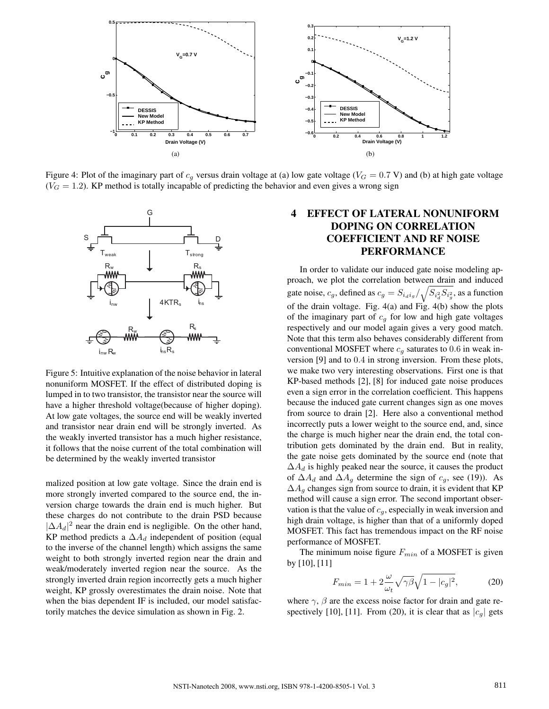

Figure 4: Plot of the imaginary part of  $c_q$  versus drain voltage at (a) low gate voltage ( $V_G = 0.7$  V) and (b) at high gate voltage  $(V<sub>G</sub> = 1.2)$ . KP method is totally incapable of predicting the behavior and even gives a wrong sign



Figure 5: Intuitive explanation of the noise behavior in lateral nonuniform MOSFET. If the effect of distributed doping is lumped in to two transistor, the transistor near the source will have a higher threshold voltage(because of higher doping). At low gate voltages, the source end will be weakly inverted and transistor near drain end will be strongly inverted. As the weakly inverted transistor has a much higher resistance, it follows that the noise current of the total combination will be determined by the weakly inverted transistor

malized position at low gate voltage. Since the drain end is more strongly inverted compared to the source end, the inversion charge towards the drain end is much higher. But these charges do not contribute to the drain PSD because  $|\Delta A_d|^2$  near the drain end is negligible. On the other hand, KP method predicts a  $\Delta A_d$  independent of position (equal to the inverse of the channel length) which assigns the same weight to both strongly inverted region near the drain and weak/moderately inverted region near the source. As the strongly inverted drain region incorrectly gets a much higher weight, KP grossly overestimates the drain noise. Note that when the bias dependent IF is included, our model satisfactorily matches the device simulation as shown in Fig. 2.

## 4 EFFECT OF LATERAL NONUNIFORM DOPING ON CORRELATION COEFFICIENT AND RF NOISE PERFORMANCE

In order to validate our induced gate noise modeling approach, we plot the correlation between drain and induced gate noise,  $c_g$ , defined as  $c_g = S_{i_d i_g} / \sqrt{S_{i_d^2} S_{i_g^2}}$ , as a function of the drain voltage. Fig. 4(a) and Fig. 4(b) show the plots of the imaginary part of  $c_g$  for low and high gate voltages respectively and our model again gives a very good match. Note that this term also behaves considerably different from conventional MOSFET where  $c_q$  saturates to 0.6 in weak inversion [9] and to 0.4 in strong inversion. From these plots, we make two very interesting observations. First one is that KP-based methods [2], [8] for induced gate noise produces even a sign error in the correlation coefficient. This happens because the induced gate current changes sign as one moves from source to drain [2]. Here also a conventional method incorrectly puts a lower weight to the source end, and, since the charge is much higher near the drain end, the total contribution gets dominated by the drain end. But in reality, the gate noise gets dominated by the source end (note that  $\Delta A_d$  is highly peaked near the source, it causes the product of  $\Delta A_d$  and  $\Delta A_g$  determine the sign of  $c_g$ , see (19)). As  $\Delta A_q$  changes sign from source to drain, it is evident that KP method will cause a sign error. The second important observation is that the value of  $c<sub>q</sub>$ , especially in weak inversion and high drain voltage, is higher than that of a uniformly doped MOSFET. This fact has tremendous impact on the RF noise performance of MOSFET.

The minimum noise figure  $F_{min}$  of a MOSFET is given by [10], [11]

$$
F_{min} = 1 + 2\frac{\omega}{\omega_t}\sqrt{\gamma\beta}\sqrt{1 - |c_g|^2},\tag{20}
$$

where  $\gamma$ ,  $\beta$  are the excess noise factor for drain and gate respectively [10], [11]. From (20), it is clear that as  $|c_g|$  gets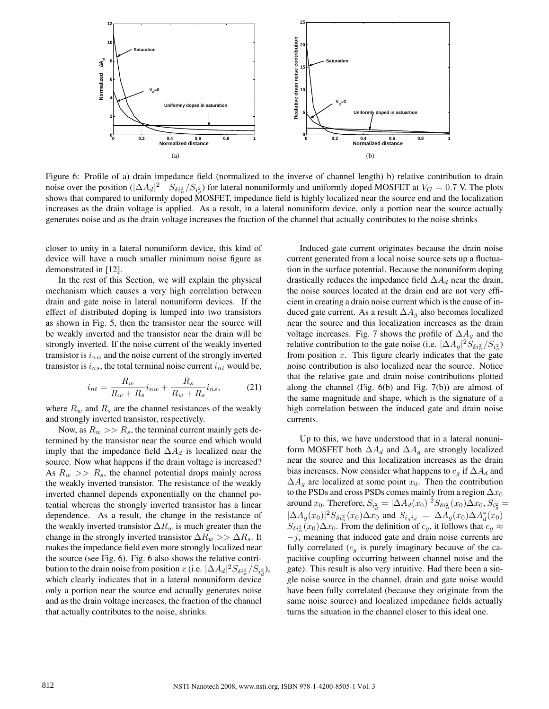

Figure 6: Profile of a) drain impedance field (normalized to the inverse of channel length) b) relative contribution to drain noise over the position ( $|\Delta A_d|^2$   $S_{\delta i_n^2}/S_{i_d^2}$ ) for lateral nonuniformly and uniformly doped MOSFET at  $V_G = 0.7$  V. The plots shows that compared to uniformly doped MOSFET, impedance field is highly localized near the source end and the localization increases as the drain voltage is applied. As a result, in a lateral nonuniform device, only a portion near the source actually generates noise and as the drain voltage increases the fraction of the channel that actually contributes to the noise shrinks

closer to unity in a lateral nonuniform device, this kind of device will have a much smaller minimum noise figure as demonstrated in [12].

In the rest of this Section, we will explain the physical mechanism which causes a very high correlation between drain and gate noise in lateral nonuniform devices. If the effect of distributed doping is lumped into two transistors as shown in Fig. 5, then the transistor near the source will be weakly inverted and the transistor near the drain will be strongly inverted. If the noise current of the weakly inverted transistor is  $i_{nw}$  and the noise current of the strongly inverted transistor is  $i_{ns}$ , the total terminal noise current  $i_{nt}$  would be,

$$
i_{nt} = \frac{R_w}{R_w + R_s} i_{nw} + \frac{R_s}{R_w + R_s} i_{ns},\tag{21}
$$

where  $R_w$  and  $R_s$  are the channel resistances of the weakly and strongly inverted transistor, respectively.

Now, as  $R_w >> R_s$ , the terminal current mainly gets determined by the transistor near the source end which would imply that the impedance field  $\Delta A_d$  is localized near the source. Now what happens if the drain voltage is increased? As  $R_w \gg R_s$ , the channel potential drops mainly across the weakly inverted transistor. The resistance of the weakly inverted channel depends exponentially on the channel potential whereas the strongly inverted transistor has a linear dependence. As a result, the change in the resistance of the weakly inverted transistor  $\Delta R_w$  is much greater than the change in the strongly inverted transistor  $\Delta R_w >> \Delta R_s$ . It makes the impedance field even more strongly localized near the source (see Fig. 6). Fig. 6 also shows the relative contribution to the drain noise from position x (i.e.  $|\Delta A_d|^2 S_{\delta i_n^2}/S_{i_d^2}$ ), which clearly indicates that in a lateral nonuniform device only a portion near the source end actually generates noise and as the drain voltage increases, the fraction of the channel that actually contributes to the noise, shrinks.

Induced gate current originates because the drain noise current generated from a local noise source sets up a fluctuation in the surface potential. Because the nonuniform doping drastically reduces the impedance field  $\Delta A_d$  near the drain, the noise sources located at the drain end are not very efficient in creating a drain noise current which is the cause of induced gate current. As a result  $\Delta A_q$  also becomes localized near the source and this localization increases as the drain voltage increases. Fig. 7 shows the profile of  $\Delta A_g$  and the relative contribution to the gate noise (i.e.  $|\Delta A_g|^2 \tilde{S}_{\delta i_n^2} / S_{i_g^2}$ ) from position  $x$ . This figure clearly indicates that the gate noise contribution is also localized near the source. Notice that the relative gate and drain noise contributions plotted along the channel (Fig. 6(b) and Fig. 7(b)) are almost of the same magnitude and shape, which is the signature of a high correlation between the induced gate and drain noise currents.

Up to this, we have understood that in a lateral nonuniform MOSFET both  $\Delta A_d$  and  $\Delta A_g$  are strongly localized near the source and this localization increases as the drain bias increases. Now consider what happens to  $c<sub>g</sub>$  if  $\Delta A<sub>d</sub>$  and  $\Delta A_g$  are localized at some point  $x_0$ . Then the contribution to the PSDs and cross PSDs comes mainly from a region  $\Delta x_0$ around  $x_0$ . Therefore,  $S_{i_d^2} = |\Delta A_d(x_0)|^2 S_{\delta i_n^2}(x_0) \Delta x_0, S_{i_g^2} =$  $|\Delta A_g(x_0)|^2 S_{\delta i_n^2}(x_0) \Delta x_0$  and  $S_{i_g i_d} = \Delta A_g(x_0) \Delta A_d^*(x_0)$  $S_{\delta i_n^2}(x_0) \Delta x_0$ . From the definition of  $c_g$ , it follows that  $c_g \approx$  $-j$ , meaning that induced gate and drain noise currents are fully correlated  $(c_q$  is purely imaginary because of the capacitive coupling occurring between channel noise and the gate). This result is also very intuitive. Had there been a single noise source in the channel, drain and gate noise would have been fully correlated (because they originate from the same noise source) and localized impedance fields actually turns the situation in the channel closer to this ideal one.